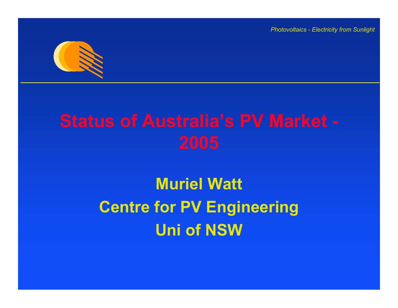

# **Muriel Watt Centre for PV Engineering Uni of NSW**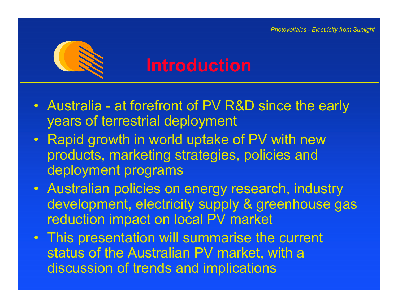

## **Introduction**

- Australia at forefront of PV R&D since the early years of terrestrial deployment
- Rapid growth in world uptake of PV with new products, marketing strategies, policies and deployment programs
- Australian policies on energy research, industry development, electricity supply & greenhouse gas reduction impact on local PV market
- This presentation will summarise the current status of the Australian PV market, with a discussion of trends and implications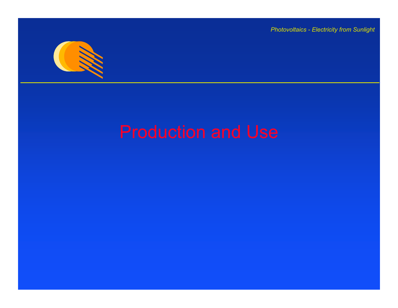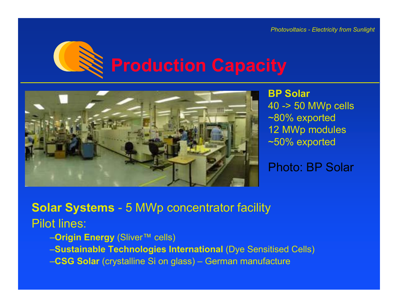



**BP Solar**  40 -> 50 MWp cells ~80% exported 12 MWp modules ~50% exported

Photo: BP Solar

**Solar Systems** - 5 MWp concentrator facility Pilot lines:

–**Origin Energy** (Sliver™ cells)

–**Sustainable Technologies International** (Dye Sensitised Cells)

–**CSG Solar** (crystalline Si on glass) – German manufacture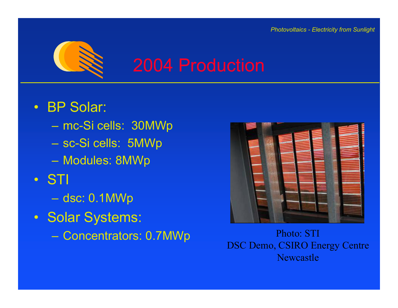

## 2004 Production

- BP Solar:
	- mc-Si cells: 30MWp
	- sc-Si cells: 5MWp
	- Modules: 8MWp
- STI
	- dsc: 0.1MWp
- Solar Systems:
	- –



Concentrators: 0.7MWp<br>DSC Demo, CSIRO Energy Centre Newcastle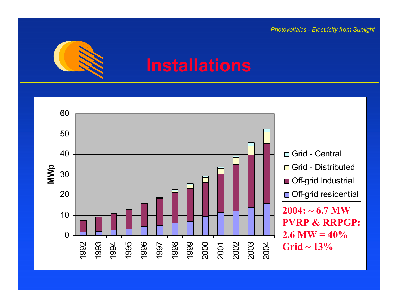

## **Installations**

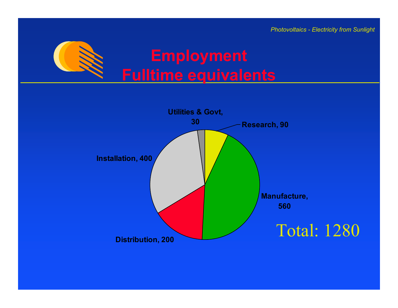

## **Employment Fulltime equivalents**

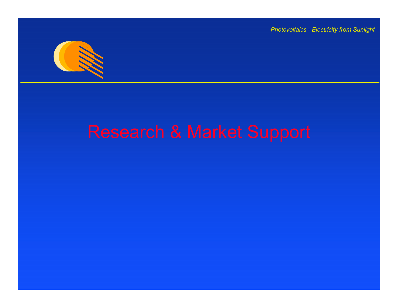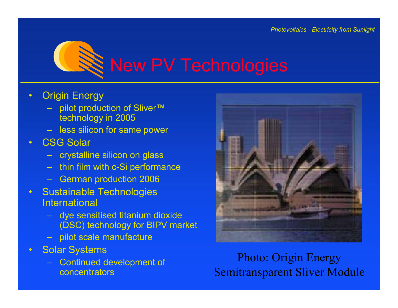

- $\bullet$ Origin Energy
	- pilot production of Sliver™ technology in 2005
	- less silicon for same power
- •CSG Solar
	- crystalline silicon on glass
	- thin film with c-Si performance
	- German production 2006
- •Sustainable Technologies **International** 
	- dye sensitised titanium dioxide (DSC) technology for BIPV market
	- pilot scale manufacture
- •Solar Syste m s
	- Continued development of concentrators



Photo: Origin Energy Semitransparent Sliver Module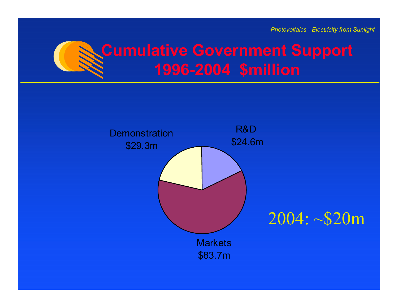

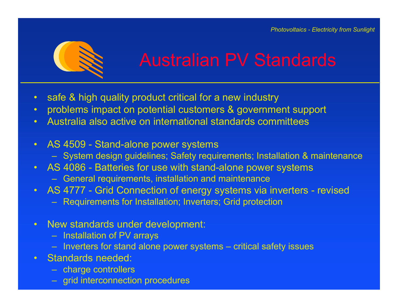

- •safe & high quality product critical for a new industry
- •problems impact on potential customers & government support
- •Australia also active on international standards committees
- AS 4509 Stand-alone power systems
	- System design guidelines; Safety requirements; Installation & maintenance
- AS 4086 Batteries for use with stand-alone power systems
	- General requirements, installation and maintenance
- AS 4777 Grid Connection of energy systems via inverters revised
	- Requirements for Installation; Inverters; Grid protection
- $\bullet$ New standards under development:
	- Installation of PV arrays
	- Inverters for stand alone power systems critical safety issues
- •Standards needed:
	- charge controllers
	- grid interconnection procedures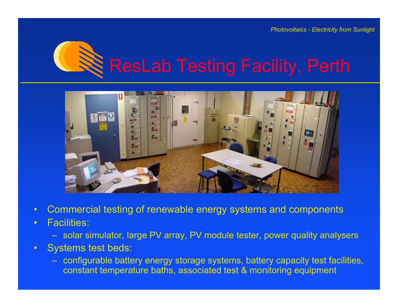



- $\bullet$ Commercial testing of renewable energy systems and components
- • Facilities:
	- solar simulator, large PV array, PV module tester, power quality analysers
- • Systems test beds:
	- configurable battery energy storage systems, battery capacity test facilities, constant temperature baths, associated test & monitoring equipment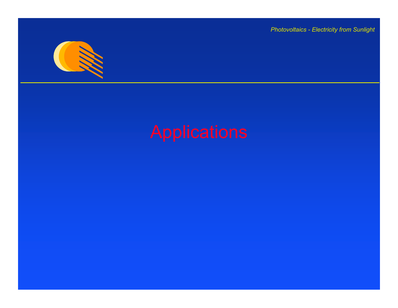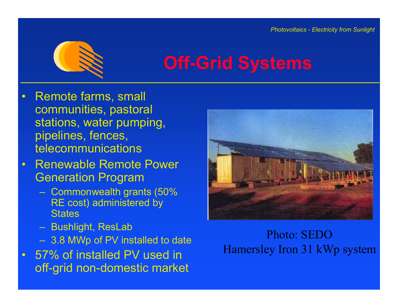

# **Off-Grid Systems**

- $\bullet$ Remote farms, small communities, pastoral stations, water pumping, pipelines, fences, telecommunications
- Renewable Remote Power Generation Program
	- Commonwealth grants (50% RE cost) administered by **States**
	- Bushlight, ResLab
	- 3.8 MWp of PV ins talled to date
- $\bullet$ 57% of installed PV used in off-grid non-domestic market



Photo: SEDOHamersley Iron 31 kWp system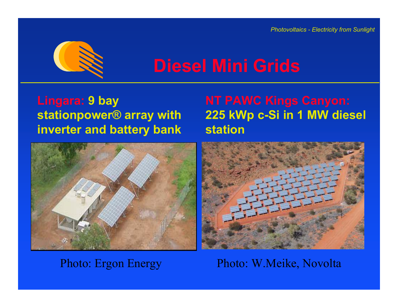

## **Diesel Mini Grids**

### **Lingara: 9 bay stationpower® array with inverter and battery bank**



# **225 kWp c-Si in 1 MW diesel station**



### Photo: Ergon Energy Photo: W.Meike, Novolta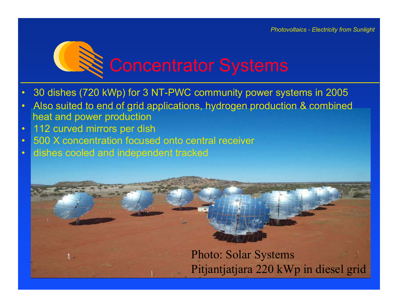

- $\bullet$ 30 dishes (720 kWp) for 3 NT-PWC community power systems in 2005
- •Also suited to end of grid applications, hydrogen production & combined heat and power production
- •112 curved mirrors per dish

л.

- •500 X concentration focused onto central receiver
- •dishes cooled and independent tracked



Photo: Solar Systems Pitjantjatjara 220 kWp in diesel grid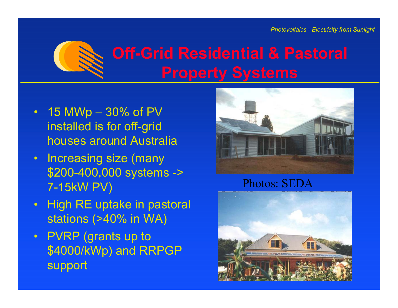

# **Off-Grid Residential & Pastoral Property Systems**

- 15 MWp 30% of PV installed is for off-grid houses around Australia
- Increasing size (many \$200-400,000 systems -> 7-15kW PV)
- High RE uptake in pastoral stations (>40% in WA)
- PVRP (grants up to \$4000/kWp) and RRPGP support



### Photos: SEDA

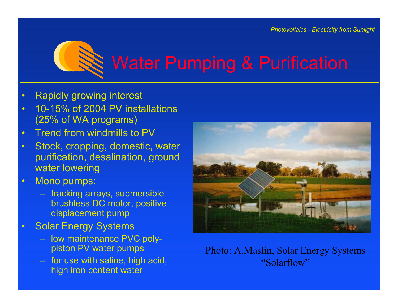

# Water Pumping & Purification

- $\bullet$ Rapidly growing interest
- $\bullet$  10-15% of 2004 PV installations (25% of WA programs)
- •Trend from windmills to PV
- •Stock, cropping, domestic, water purification, desalination, ground water lowering
- •Mono pumps:
	- tracking arrays, submersible brushless DC motor, positive displacement pump
- •Solar Energy Systems
	- low maintenance PVC polypiston PV water pumps
	- for use with saline, high acid, high iron content water



Photo: A.Maslin, Solar Energy Systems "Solarflow"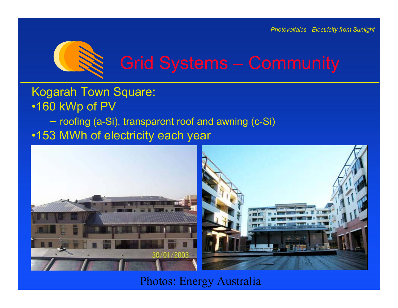

### Kogarah Town Square: •160 kWp of PV – roofing (a-Si), transparent roof and awning (c-Si) •153 MWh of electricity each year



Photos: Energy Australia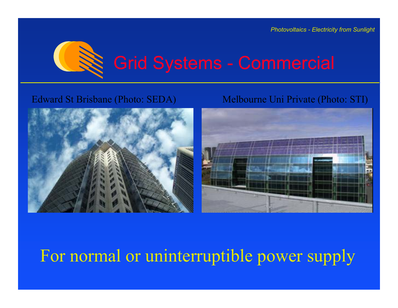

### Edward St Brisbane (Photo: SEDA) Melbourne Uni Private (Photo: STI)





## For normal or uninterruptible power supply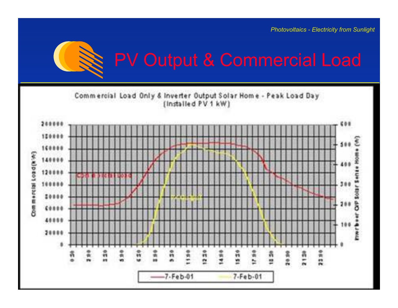

# PV Output & Commercial Load

Commercial Load Only & Inverter Output Solar Home - Peak Load Day (Installed PV 1 kW)

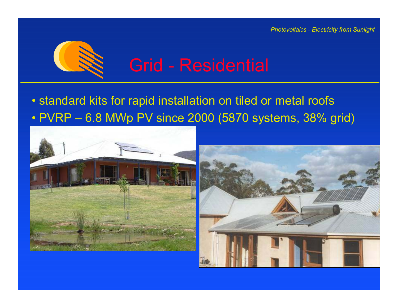

## • standard kits for rapid installation on tiled or metal roofs • PVRP – 6.8 MWp PV since 2000 (5870 systems, 38% grid)

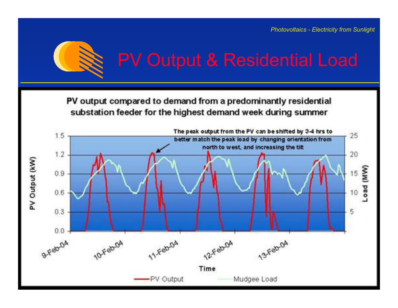

# PV Output & Residential Load

PV output compared to demand from a predominantly residential substation feeder for the highest demand week during summer

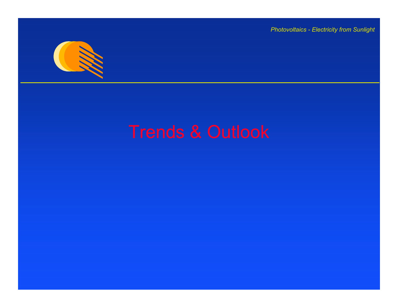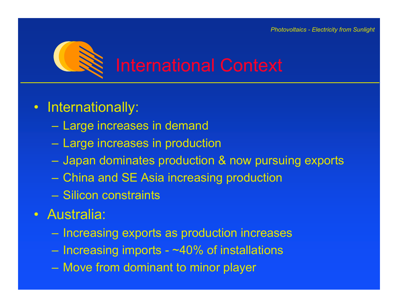

### $\bullet$ Internationally:

- Large increases in demand
- Large increases in production
- Japan dominates production & now pursuing exports
- China and SE Asia increasing production
- –Silicon constraints
- •Australia:
	- $-$  Increasing exports as production increases
	- Increasing imports ~40% of installations
	- Move from dominant to minor player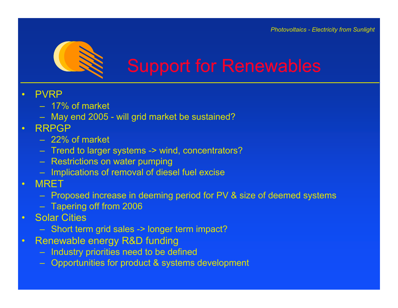

- $\bullet$  PVRP
	- 17% of market
	- May end 2005 will grid market be sustained?
- • RRPGP
	- 22% of market
	- Trend to larger systems -> wind, concentrators?
	- Restrictions on water pumping
	- Implications of removal of diesel fuel excise
- • MRET
	- Proposed increase in deeming period for PV & size of deemed systems
	- Tapering off from 2006
- •Solar Cities
	- Short term grid sales -> longer term impact?
- •Renewable energy R&D funding
	- Industry priorities need to be defined
	- Opportunities for product & systems development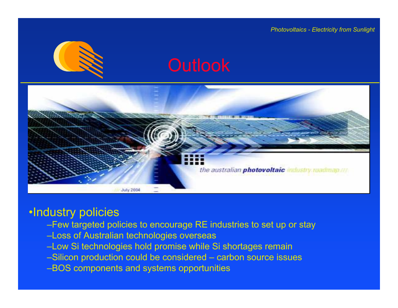





### •Industry policies

- –Few targeted policies to encourage RE industries to set up or stay
- –Loss of Australian technologies overseas
- –Low Si technologies hold promise while Si shortages remain
- –Silicon production could be considered carbon source issues
- –BOS components and systems opportunities